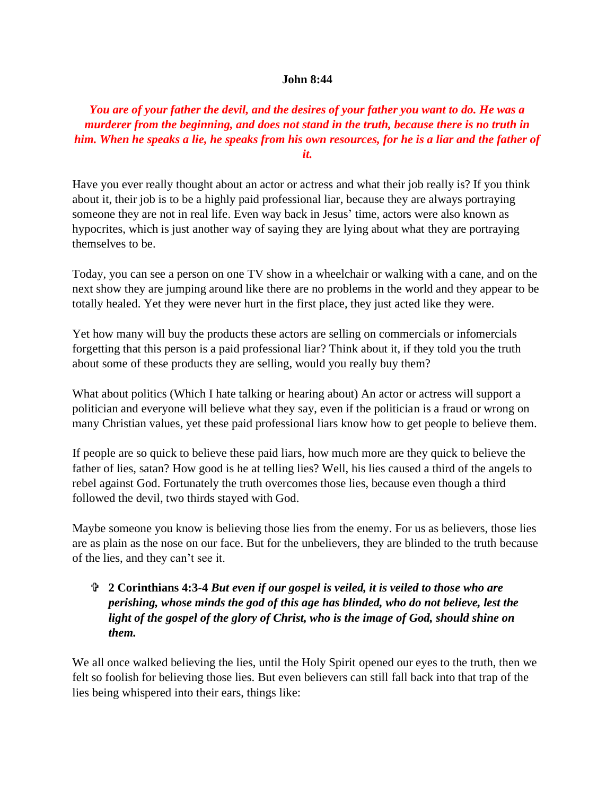## **John 8:44**

## *You are of your father the devil, and the desires of your father you want to do. He was a murderer from the beginning, and does not stand in the truth, because there is no truth in him. When he speaks a lie, he speaks from his own resources, for he is a liar and the father of it.*

Have you ever really thought about an actor or actress and what their job really is? If you think about it, their job is to be a highly paid professional liar, because they are always portraying someone they are not in real life. Even way back in Jesus' time, actors were also known as hypocrites, which is just another way of saying they are lying about what they are portraying themselves to be.

Today, you can see a person on one TV show in a wheelchair or walking with a cane, and on the next show they are jumping around like there are no problems in the world and they appear to be totally healed. Yet they were never hurt in the first place, they just acted like they were.

Yet how many will buy the products these actors are selling on commercials or infomercials forgetting that this person is a paid professional liar? Think about it, if they told you the truth about some of these products they are selling, would you really buy them?

What about politics (Which I hate talking or hearing about) An actor or actress will support a politician and everyone will believe what they say, even if the politician is a fraud or wrong on many Christian values, yet these paid professional liars know how to get people to believe them.

If people are so quick to believe these paid liars, how much more are they quick to believe the father of lies, satan? How good is he at telling lies? Well, his lies caused a third of the angels to rebel against God. Fortunately the truth overcomes those lies, because even though a third followed the devil, two thirds stayed with God.

Maybe someone you know is believing those lies from the enemy. For us as believers, those lies are as plain as the nose on our face. But for the unbelievers, they are blinded to the truth because of the lies, and they can't see it.

## **2 Corinthians 4:3-4** *But even if our gospel is veiled, it is veiled to those who are perishing, whose minds the god of this age has blinded, who do not believe, lest the light of the gospel of the glory of Christ, who is the image of God, should shine on them.*

We all once walked believing the lies, until the Holy Spirit opened our eyes to the truth, then we felt so foolish for believing those lies. But even believers can still fall back into that trap of the lies being whispered into their ears, things like: